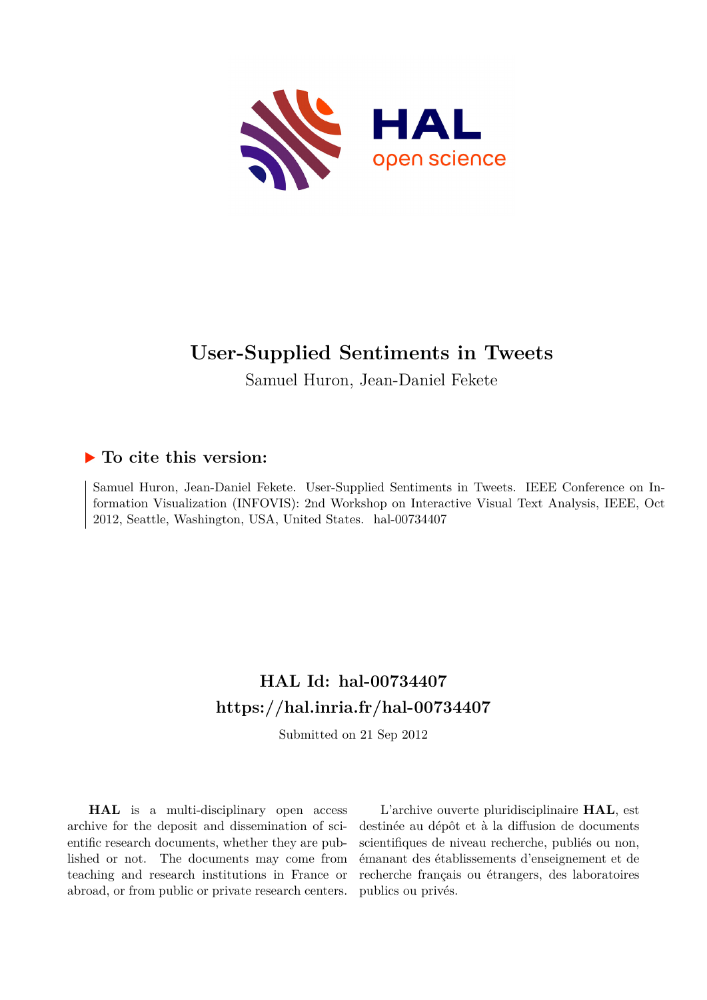

# **User-Supplied Sentiments in Tweets**

Samuel Huron, Jean-Daniel Fekete

### **To cite this version:**

Samuel Huron, Jean-Daniel Fekete. User-Supplied Sentiments in Tweets. IEEE Conference on Information Visualization (INFOVIS): 2nd Workshop on Interactive Visual Text Analysis, IEEE, Oct 2012, Seattle, Washington, USA, United States. hal-00734407

# **HAL Id: hal-00734407 <https://hal.inria.fr/hal-00734407>**

Submitted on 21 Sep 2012

**HAL** is a multi-disciplinary open access archive for the deposit and dissemination of scientific research documents, whether they are published or not. The documents may come from teaching and research institutions in France or abroad, or from public or private research centers.

L'archive ouverte pluridisciplinaire **HAL**, est destinée au dépôt et à la diffusion de documents scientifiques de niveau recherche, publiés ou non, émanant des établissements d'enseignement et de recherche français ou étrangers, des laboratoires publics ou privés.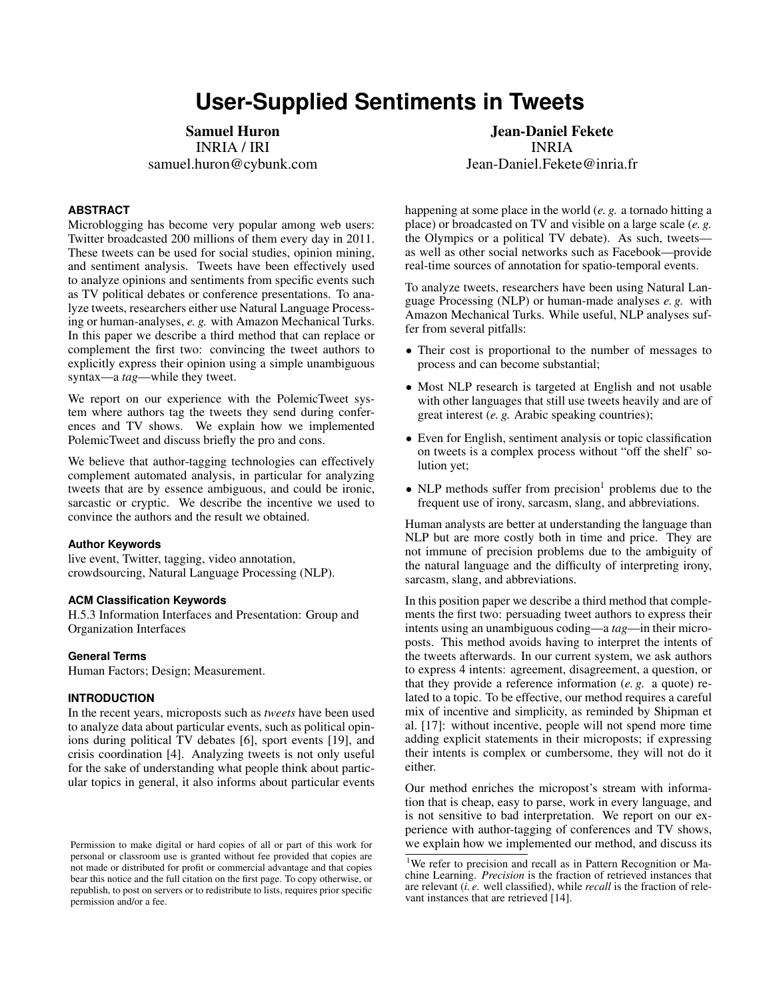# **User-Supplied Sentiments in Tweets**

Samuel Huron INRIA / IRI samuel.huron@cybunk.com

#### **ABSTRACT**

Microblogging has become very popular among web users: Twitter broadcasted 200 millions of them every day in 2011. These tweets can be used for social studies, opinion mining, and sentiment analysis. Tweets have been effectively used to analyze opinions and sentiments from specific events such as TV political debates or conference presentations. To analyze tweets, researchers either use Natural Language Processing or human-analyses, *e. g.* with Amazon Mechanical Turks. In this paper we describe a third method that can replace or complement the first two: convincing the tweet authors to explicitly express their opinion using a simple unambiguous syntax—a *tag*—while they tweet.

We report on our experience with the PolemicTweet system where authors tag the tweets they send during conferences and TV shows. We explain how we implemented PolemicTweet and discuss briefly the pro and cons.

We believe that author-tagging technologies can effectively complement automated analysis, in particular for analyzing tweets that are by essence ambiguous, and could be ironic, sarcastic or cryptic. We describe the incentive we used to convince the authors and the result we obtained.

#### **Author Keywords**

live event, Twitter, tagging, video annotation, crowdsourcing, Natural Language Processing (NLP).

#### **ACM Classification Keywords**

H.5.3 Information Interfaces and Presentation: Group and Organization Interfaces

#### **General Terms**

Human Factors; Design; Measurement.

#### **INTRODUCTION**

In the recent years, microposts such as *tweets* have been used to analyze data about particular events, such as political opinions during political TV debates [6], sport events [19], and crisis coordination [4]. Analyzing tweets is not only useful for the sake of understanding what people think about particular topics in general, it also informs about particular events

Jean-Daniel Fekete INRIA Jean-Daniel.Fekete@inria.fr

happening at some place in the world (*e. g.* a tornado hitting a place) or broadcasted on TV and visible on a large scale (*e. g.* the Olympics or a political TV debate). As such, tweets as well as other social networks such as Facebook—provide real-time sources of annotation for spatio-temporal events.

To analyze tweets, researchers have been using Natural Language Processing (NLP) or human-made analyses *e. g.* with Amazon Mechanical Turks. While useful, NLP analyses suffer from several pitfalls:

- Their cost is proportional to the number of messages to process and can become substantial;
- Most NLP research is targeted at English and not usable with other languages that still use tweets heavily and are of great interest (*e. g.* Arabic speaking countries);
- Even for English, sentiment analysis or topic classification on tweets is a complex process without "off the shelf' solution yet;
- NLP methods suffer from precision<sup>1</sup> problems due to the frequent use of irony, sarcasm, slang, and abbreviations.

Human analysts are better at understanding the language than NLP but are more costly both in time and price. They are not immune of precision problems due to the ambiguity of the natural language and the difficulty of interpreting irony, sarcasm, slang, and abbreviations.

In this position paper we describe a third method that complements the first two: persuading tweet authors to express their intents using an unambiguous coding—a *tag*—in their microposts. This method avoids having to interpret the intents of the tweets afterwards. In our current system, we ask authors to express 4 intents: agreement, disagreement, a question, or that they provide a reference information (*e. g.* a quote) related to a topic. To be effective, our method requires a careful mix of incentive and simplicity, as reminded by Shipman et al. [17]: without incentive, people will not spend more time adding explicit statements in their microposts; if expressing their intents is complex or cumbersome, they will not do it either.

Our method enriches the micropost's stream with information that is cheap, easy to parse, work in every language, and is not sensitive to bad interpretation. We report on our experience with author-tagging of conferences and TV shows, we explain how we implemented our method, and discuss its

Permission to make digital or hard copies of all or part of this work for personal or classroom use is granted without fee provided that copies are not made or distributed for profit or commercial advantage and that copies bear this notice and the full citation on the first page. To copy otherwise, or republish, to post on servers or to redistribute to lists, requires prior specific permission and/or a fee.

<sup>&</sup>lt;sup>1</sup>We refer to precision and recall as in Pattern Recognition or Machine Learning. *Precision* is the fraction of retrieved instances that are relevant (*i. e.* well classified), while *recall* is the fraction of relevant instances that are retrieved [14].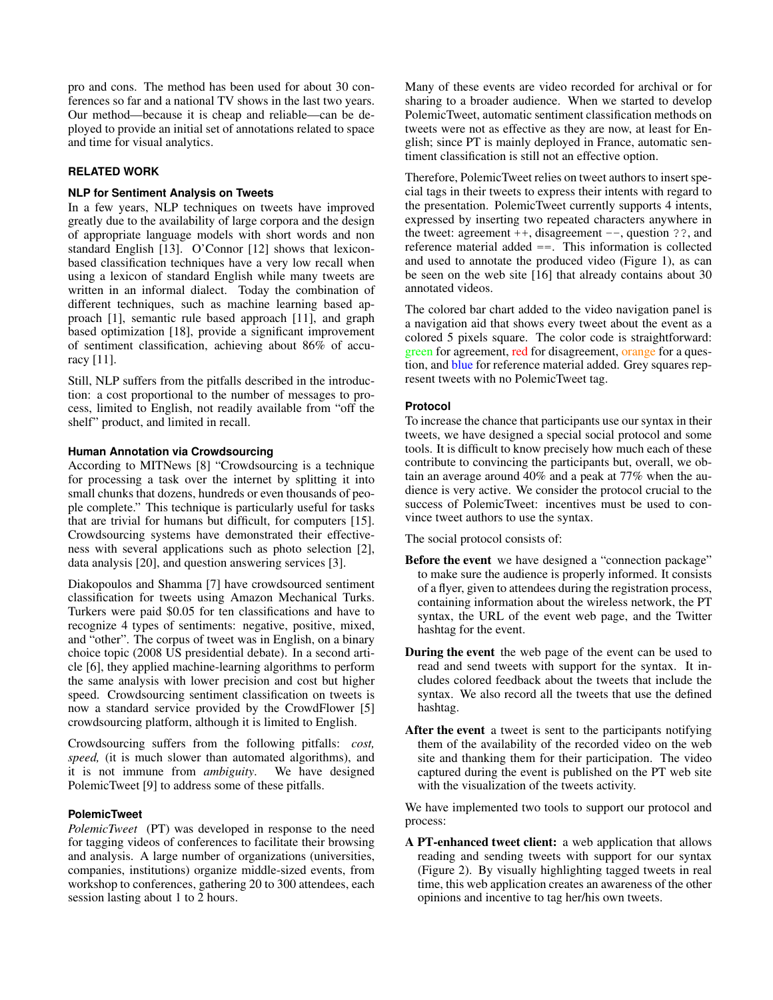pro and cons. The method has been used for about 30 conferences so far and a national TV shows in the last two years. Our method—because it is cheap and reliable—can be deployed to provide an initial set of annotations related to space and time for visual analytics.

### **RELATED WORK**

#### **NLP for Sentiment Analysis on Tweets**

In a few years, NLP techniques on tweets have improved greatly due to the availability of large corpora and the design of appropriate language models with short words and non standard English [13]. O'Connor [12] shows that lexiconbased classification techniques have a very low recall when using a lexicon of standard English while many tweets are written in an informal dialect. Today the combination of different techniques, such as machine learning based approach [1], semantic rule based approach [11], and graph based optimization [18], provide a significant improvement of sentiment classification, achieving about 86% of accuracy [11].

Still, NLP suffers from the pitfalls described in the introduction: a cost proportional to the number of messages to process, limited to English, not readily available from "off the shelf" product, and limited in recall.

#### **Human Annotation via Crowdsourcing**

According to MITNews [8] "Crowdsourcing is a technique for processing a task over the internet by splitting it into small chunks that dozens, hundreds or even thousands of people complete." This technique is particularly useful for tasks that are trivial for humans but difficult, for computers [15]. Crowdsourcing systems have demonstrated their effectiveness with several applications such as photo selection [2], data analysis [20], and question answering services [3].

Diakopoulos and Shamma [7] have crowdsourced sentiment classification for tweets using Amazon Mechanical Turks. Turkers were paid \$0.05 for ten classifications and have to recognize 4 types of sentiments: negative, positive, mixed, and "other". The corpus of tweet was in English, on a binary choice topic (2008 US presidential debate). In a second article [6], they applied machine-learning algorithms to perform the same analysis with lower precision and cost but higher speed. Crowdsourcing sentiment classification on tweets is now a standard service provided by the CrowdFlower [5] crowdsourcing platform, although it is limited to English.

Crowdsourcing suffers from the following pitfalls: *cost, speed,* (it is much slower than automated algorithms), and it is not immune from *ambiguity*. We have designed PolemicTweet [9] to address some of these pitfalls.

#### **PolemicTweet**

*PolemicTweet* (PT) was developed in response to the need for tagging videos of conferences to facilitate their browsing and analysis. A large number of organizations (universities, companies, institutions) organize middle-sized events, from workshop to conferences, gathering 20 to 300 attendees, each session lasting about 1 to 2 hours.

Many of these events are video recorded for archival or for sharing to a broader audience. When we started to develop PolemicTweet, automatic sentiment classification methods on tweets were not as effective as they are now, at least for English; since PT is mainly deployed in France, automatic sentiment classification is still not an effective option.

Therefore, PolemicTweet relies on tweet authors to insert special tags in their tweets to express their intents with regard to the presentation. PolemicTweet currently supports 4 intents, expressed by inserting two repeated characters anywhere in the tweet: agreement  $++$ , disagreement  $--$ , question ??, and reference material added ==. This information is collected and used to annotate the produced video (Figure 1), as can be seen on the web site [16] that already contains about 30 annotated videos.

The colored bar chart added to the video navigation panel is a navigation aid that shows every tweet about the event as a colored 5 pixels square. The color code is straightforward: green for agreement, red for disagreement, orange for a question, and blue for reference material added. Grey squares represent tweets with no PolemicTweet tag.

#### **Protocol**

To increase the chance that participants use our syntax in their tweets, we have designed a special social protocol and some tools. It is difficult to know precisely how much each of these contribute to convincing the participants but, overall, we obtain an average around 40% and a peak at 77% when the audience is very active. We consider the protocol crucial to the success of PolemicTweet: incentives must be used to convince tweet authors to use the syntax.

The social protocol consists of:

- Before the event we have designed a "connection package" to make sure the audience is properly informed. It consists of a flyer, given to attendees during the registration process, containing information about the wireless network, the PT syntax, the URL of the event web page, and the Twitter hashtag for the event.
- During the event the web page of the event can be used to read and send tweets with support for the syntax. It includes colored feedback about the tweets that include the syntax. We also record all the tweets that use the defined hashtag.
- After the event a tweet is sent to the participants notifying them of the availability of the recorded video on the web site and thanking them for their participation. The video captured during the event is published on the PT web site with the visualization of the tweets activity.

We have implemented two tools to support our protocol and process:

A PT-enhanced tweet client: a web application that allows reading and sending tweets with support for our syntax (Figure 2). By visually highlighting tagged tweets in real time, this web application creates an awareness of the other opinions and incentive to tag her/his own tweets.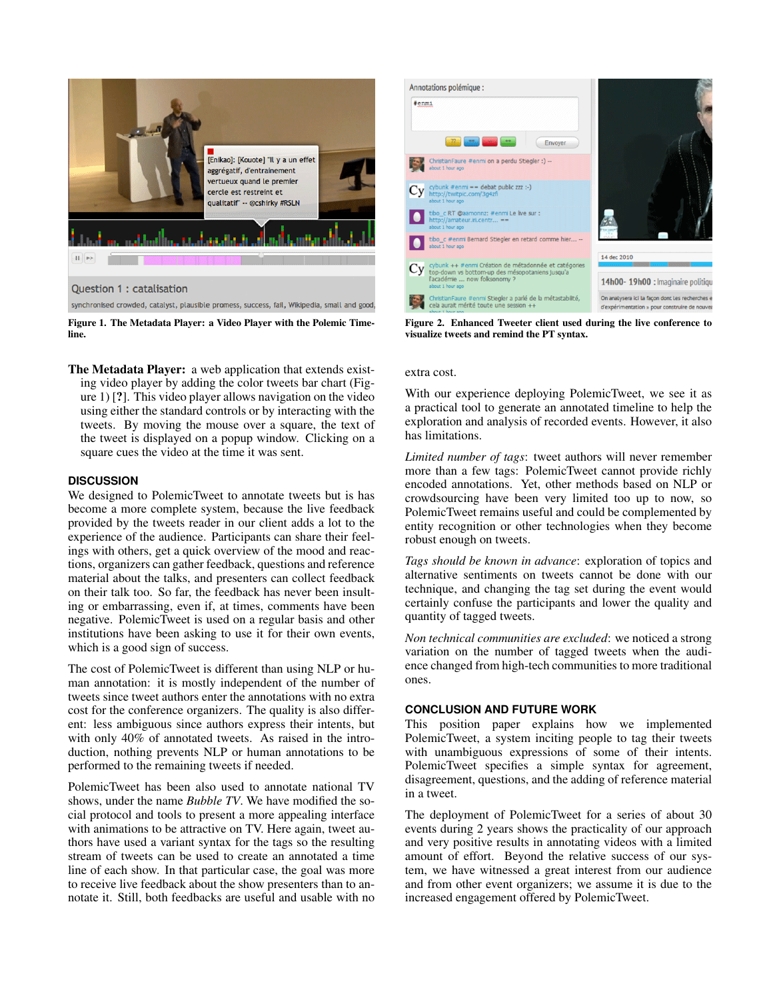

Question 1 : catalisation

synchronised crowded, catalyst, plausible promess, success, fail, Wikipedia, small and good,



The Metadata Player: a web application that extends existing video player by adding the color tweets bar chart (Figure 1) [?]. This video player allows navigation on the video using either the standard controls or by interacting with the tweets. By moving the mouse over a square, the text of the tweet is displayed on a popup window. Clicking on a square cues the video at the time it was sent.

### **DISCUSSION**

We designed to PolemicTweet to annotate tweets but is has become a more complete system, because the live feedback provided by the tweets reader in our client adds a lot to the experience of the audience. Participants can share their feelings with others, get a quick overview of the mood and reactions, organizers can gather feedback, questions and reference material about the talks, and presenters can collect feedback on their talk too. So far, the feedback has never been insulting or embarrassing, even if, at times, comments have been negative. PolemicTweet is used on a regular basis and other institutions have been asking to use it for their own events, which is a good sign of success.

The cost of PolemicTweet is different than using NLP or human annotation: it is mostly independent of the number of tweets since tweet authors enter the annotations with no extra cost for the conference organizers. The quality is also different: less ambiguous since authors express their intents, but with only 40% of annotated tweets. As raised in the introduction, nothing prevents NLP or human annotations to be performed to the remaining tweets if needed.

PolemicTweet has been also used to annotate national TV shows, under the name *Bubble TV*. We have modified the social protocol and tools to present a more appealing interface with animations to be attractive on TV. Here again, tweet authors have used a variant syntax for the tags so the resulting stream of tweets can be used to create an annotated a time line of each show. In that particular case, the goal was more to receive live feedback about the show presenters than to annotate it. Still, both feedbacks are useful and usable with no



Figure 2. Enhanced Tweeter client used during the live conference to visualize tweets and remind the PT syntax.

#### extra cost.

With our experience deploying PolemicTweet, we see it as a practical tool to generate an annotated timeline to help the exploration and analysis of recorded events. However, it also has limitations.

*Limited number of tags*: tweet authors will never remember more than a few tags: PolemicTweet cannot provide richly encoded annotations. Yet, other methods based on NLP or crowdsourcing have been very limited too up to now, so PolemicTweet remains useful and could be complemented by entity recognition or other technologies when they become robust enough on tweets.

*Tags should be known in advance*: exploration of topics and alternative sentiments on tweets cannot be done with our technique, and changing the tag set during the event would certainly confuse the participants and lower the quality and quantity of tagged tweets.

*Non technical communities are excluded*: we noticed a strong variation on the number of tagged tweets when the audience changed from high-tech communities to more traditional ones.

### **CONCLUSION AND FUTURE WORK**

This position paper explains how we implemented PolemicTweet, a system inciting people to tag their tweets with unambiguous expressions of some of their intents. PolemicTweet specifies a simple syntax for agreement, disagreement, questions, and the adding of reference material in a tweet.

The deployment of PolemicTweet for a series of about 30 events during 2 years shows the practicality of our approach and very positive results in annotating videos with a limited amount of effort. Beyond the relative success of our system, we have witnessed a great interest from our audience and from other event organizers; we assume it is due to the increased engagement offered by PolemicTweet.